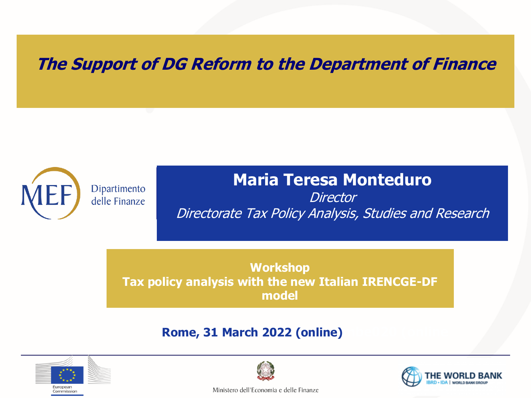#### **The Support of DG Reform to the Department of Finance**

Dipartimento delle Finanze

#### **Maria Teresa Monteduro**

**Director** Directorate Tax Policy Analysis, Studies and Research

**Workshop Tax policy analysis with the new Italian IRENCGE-DF model**

#### **) Rome, 31 March 2022 (online)**





Ministero dell'Economia e delle Finanze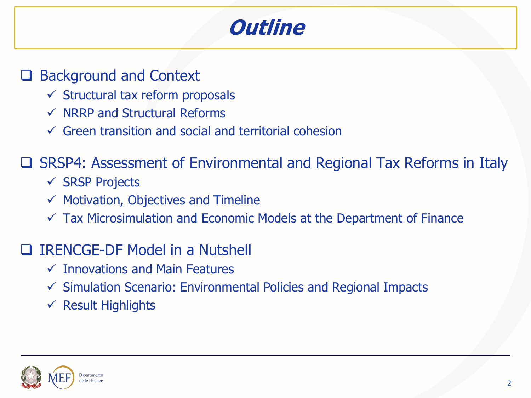### **Outline**

#### □ Background and Context

- $\checkmark$  Structural tax reform proposals
- $\checkmark$  NRRP and Structural Reforms
- $\checkmark$  Green transition and social and territorial cohesion

□ SRSP4: Assessment of Environmental and Regional Tax Reforms in Italy

- $\checkmark$  SRSP Projects
- $\checkmark$  Motivation, Objectives and Timeline
- $\checkmark$  Tax Microsimulation and Economic Models at the Department of Finance

#### IRENCGE-DF Model in a Nutshell

- $\checkmark$  Innovations and Main Features
- $\checkmark$  Simulation Scenario: Environmental Policies and Regional Impacts
- $\checkmark$  Result Highlights

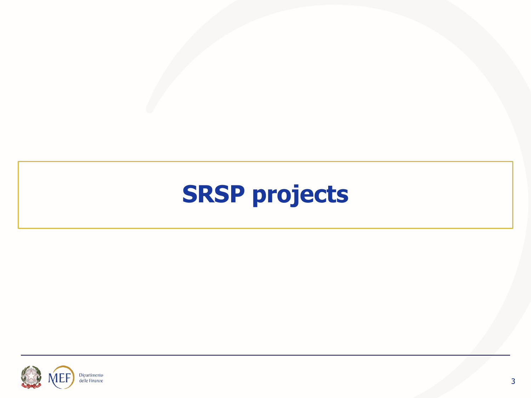# **SRSP projects**

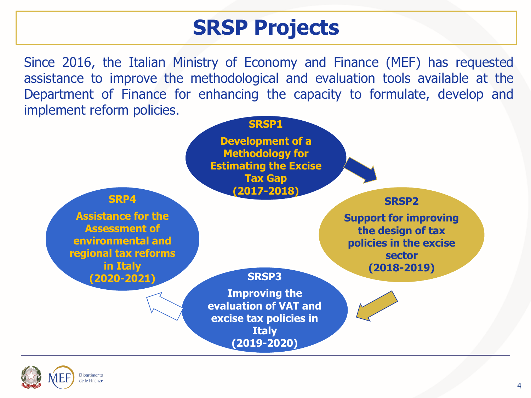### **SRSP Projects**

Since 2016, the Italian Ministry of Economy and Finance (MEF) has requested assistance to improve the methodological and evaluation tools available at the Department of Finance for enhancing the capacity to formulate, develop and implement reform policies.



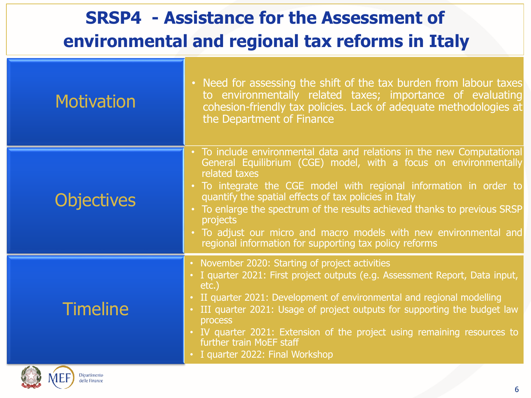#### **SRSP4 - Assistance for the Assessment of environmental and regional tax reforms in Italy Motivation Objectives Timeline** cohesion-friendly tax policies. Lack of adequate methodologies at • Need for assessing the shift of the tax burden from labour taxes to environmentally related taxes; importance of evaluating the Department of Finance • To include environmental data and relations in the new Computational General Equilibrium (CGE) model, with a focus on environmentally related taxes • To integrate the CGE model with regional information in order to quantify the spatial effects of tax policies in Italy • To enlarge the spectrum of the results achieved thanks to previous SRSP projects • To adjust our micro and macro models with new environmental and regional information for supporting tax policy reforms • II quarter 2021: Development of environmental and regional modelling<br>• III quarter 2021: Usege of project eutpute for supporting the budget • November 2020: Starting of project activities • I quarter 2021: First project outputs (e.g. Assessment Report, Data input, etc.) III quarter 2021: Usage of project outputs for supporting the budget law process • IV quarter 2021: Extension of the project using remaining resources to further train MoEF staff • I quarter 2022: Final Workshop

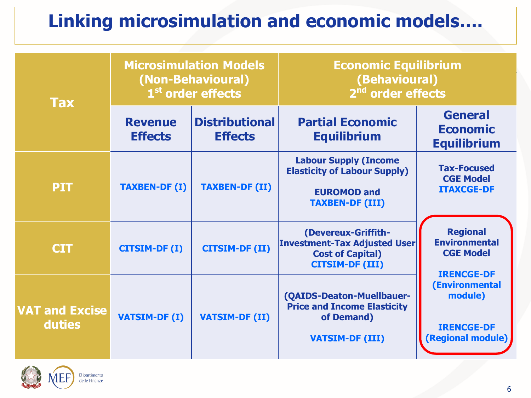#### **Linking microsimulation and economic models….**

| <b>Tax</b>                             |                                  | <b>Microsimulation Models</b><br>(Non-Behavioural)<br>1 <sup>st</sup> order effects | <b>Economic Equilibrium</b><br>(Behavioural)<br>2 <sup>nd</sup> order effects                                       |                                                                                          |  |
|----------------------------------------|----------------------------------|-------------------------------------------------------------------------------------|---------------------------------------------------------------------------------------------------------------------|------------------------------------------------------------------------------------------|--|
|                                        | <b>Revenue</b><br><b>Effects</b> | <b>Distributional</b><br><b>Effects</b>                                             | <b>Partial Economic</b><br><b>Equilibrium</b>                                                                       | <b>General</b><br><b>Economic</b><br><b>Equilibrium</b>                                  |  |
| <b>PIT</b>                             | <b>TAXBEN-DF (I)</b>             | <b>TAXBEN-DF (II)</b>                                                               | <b>Labour Supply (Income</b><br><b>Elasticity of Labour Supply)</b><br><b>EUROMOD and</b><br><b>TAXBEN-DF (III)</b> | <b>Tax-Focused</b><br><b>CGE Model</b><br><b>ITAXCGE-DF</b>                              |  |
| <b>CIT</b>                             | <b>CITSIM-DF (I)</b>             | <b>CITSIM-DF (II)</b>                                                               | (Devereux-Griffith-<br><b>Investment-Tax Adjusted User</b><br><b>Cost of Capital)</b><br><b>CITSIM-DF (III)</b>     | <b>Regional</b><br><b>Environmental</b><br><b>CGE Model</b>                              |  |
| <b>VAT and Excise</b><br><b>duties</b> | <b>VATSIM-DF (I)</b>             | <b>VATSIM-DF (II)</b>                                                               | (QAIDS-Deaton-Muellbauer-<br><b>Price and Income Elasticity</b><br>of Demand)<br><b>VATSIM-DF (III)</b>             | <b>IRENCGE-DF</b><br>(Environmental<br>module)<br><b>IRENCGE-DF</b><br>(Regional module) |  |



partimento le Finanze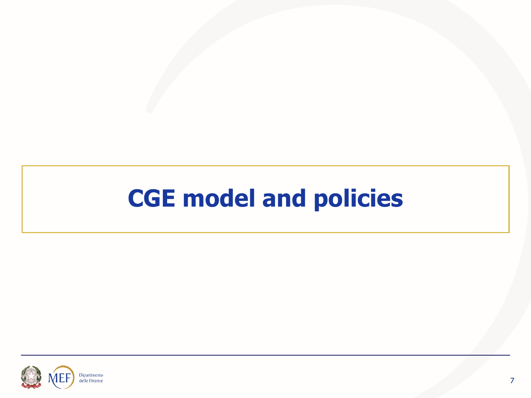# **CGE model and policies**

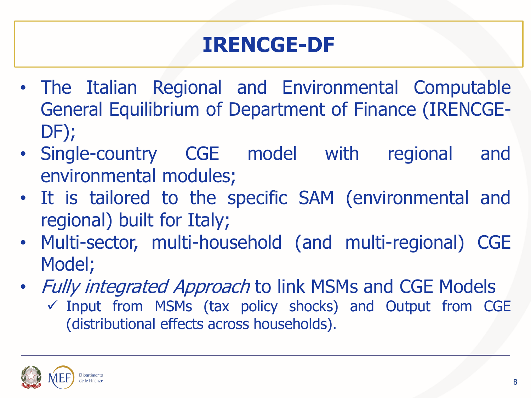## **IRENCGE-DF**

- The Italian Regional and Environmental Computable General Equilibrium of Department of Finance (IRENCGE-DF);
- Single-country CGE model with regional and environmental modules;
- It is tailored to the specific SAM (environmental and regional) built for Italy;
- Multi-sector, multi-household (and multi-regional) CGE Model;
- Fully integrated Approach to link MSMs and CGE Models  $\checkmark$  Input from MSMs (tax policy shocks) and Output from CGE (distributional effects across households).

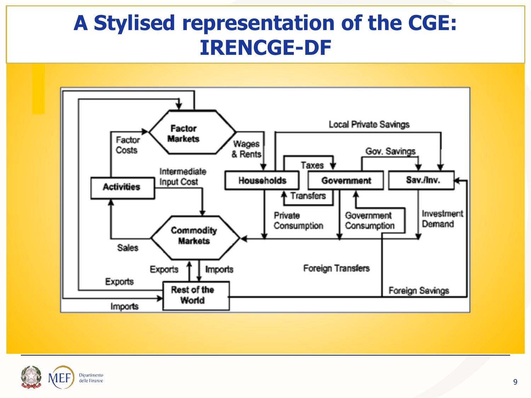#### **A Stylised representation of the CGE: IRENCGE-DF**



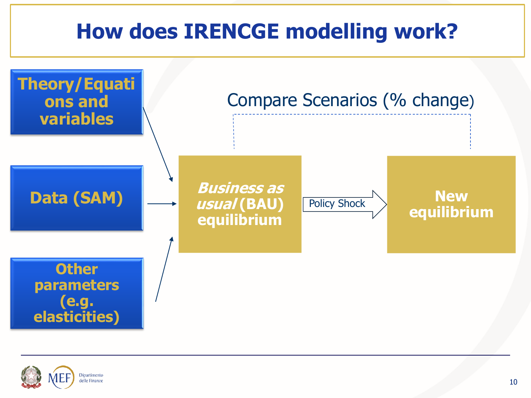### **How does IRENCGE modelling work?**



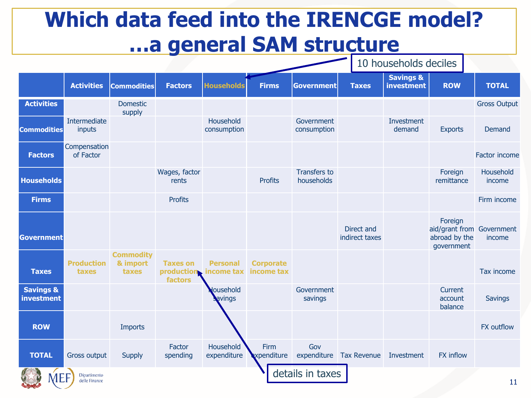#### **Which data feed into the IRENCGE model? …a general SAM structure**

10 households deciles

|                                    | <b>Activities</b>          | <b>Commodities</b>                    | <b>Factors</b>                            | <b>Households</b>             | <b>Firms</b>                   | Government                        | <b>Taxes</b>                 | <b>Savings &amp;</b><br>investment | <b>ROW</b>                                                          | <b>TOTAL</b>        |
|------------------------------------|----------------------------|---------------------------------------|-------------------------------------------|-------------------------------|--------------------------------|-----------------------------------|------------------------------|------------------------------------|---------------------------------------------------------------------|---------------------|
| <b>Activities</b>                  |                            | <b>Domestic</b><br>supply             |                                           |                               |                                |                                   |                              |                                    |                                                                     | <b>Gross Output</b> |
| <b>Commodities</b>                 | Intermediate<br>inputs     |                                       |                                           | Household<br>consumption      |                                | Government<br>consumption         |                              | Investment<br>demand               | <b>Exports</b>                                                      | Demand              |
| <b>Factors</b>                     | Compensation<br>of Factor  |                                       |                                           |                               |                                |                                   |                              |                                    |                                                                     | Factor income       |
| <b>Households</b>                  |                            |                                       | Wages, factor<br>rents                    |                               | <b>Profits</b>                 | <b>Transfers to</b><br>households |                              |                                    | Foreign<br>remittance                                               | Household<br>income |
| <b>Firms</b>                       |                            |                                       | <b>Profits</b>                            |                               |                                |                                   |                              |                                    |                                                                     | Firm income         |
| <b>Government</b>                  |                            |                                       |                                           |                               |                                |                                   | Direct and<br>indirect taxes |                                    | Foreign<br>aid/grant from Government<br>abroad by the<br>government | income              |
| <b>Taxes</b>                       | <b>Production</b><br>taxes | <b>Commodity</b><br>& import<br>taxes | <b>Taxes on</b><br>production.<br>factors | <b>Personal</b><br>income tax | <b>Corporate</b><br>income tax |                                   |                              |                                    |                                                                     | Tax income          |
| <b>Savings &amp;</b><br>investment |                            |                                       |                                           | ousehold<br>avings            |                                | Government<br>savings             |                              |                                    | Current<br>account<br>balance                                       | <b>Savings</b>      |
| <b>ROW</b>                         |                            | <b>Imports</b>                        |                                           |                               |                                |                                   |                              |                                    |                                                                     | <b>FX</b> outflow   |
| <b>TOTAL</b>                       | <b>Gross output</b>        | Supply                                | Factor<br>spending                        | Household<br>expenditure      | Firm<br>xpenditure             | Gov<br>expenditure                | <b>Tax Revenue</b>           | Investment                         | <b>FX</b> inflow                                                    |                     |
| <b>MFF</b>                         | Dipartimento               |                                       |                                           |                               |                                | details in taxes                  |                              |                                    |                                                                     |                     |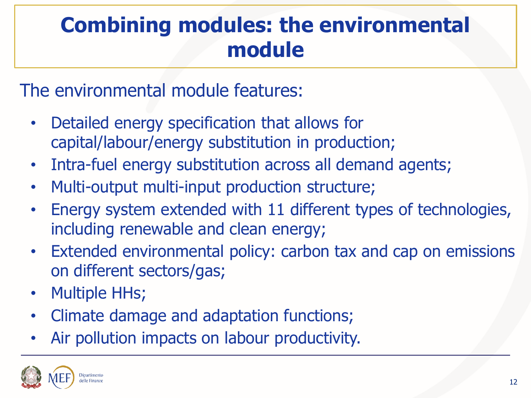### **Combining modules: the environmental module**

The environmental module features:

- Detailed energy specification that allows for capital/labour/energy substitution in production;
- Intra-fuel energy substitution across all demand agents;
- Multi-output multi-input production structure;
- Energy system extended with 11 different types of technologies, including renewable and clean energy;
- Extended environmental policy: carbon tax and cap on emissions on different sectors/gas;
- Multiple HHs;
- Climate damage and adaptation functions;
- Air pollution impacts on labour productivity.

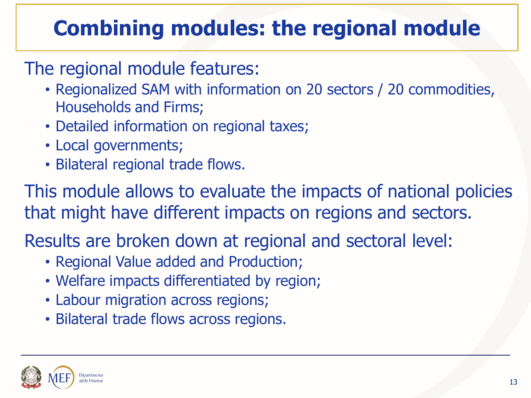## **Combining modules: the regional module**

#### The regional module features:

- Regionalized SAM with information on 20 sectors / 20 commodities, Households and Firms;
- Detailed information on regional taxes;
- Local governments;
- Bilateral regional trade flows.

This module allows to evaluate the impacts of national policies that might have different impacts on regions and sectors.

Results are broken down at regional and sectoral level:

- Regional Value added and Production;
- Welfare impacts differentiated by region;
- Labour migration across regions;
- Bilateral trade flows across regions.

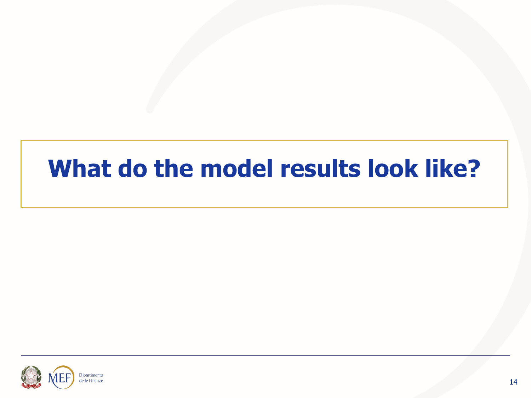# **What do the model results look like?**

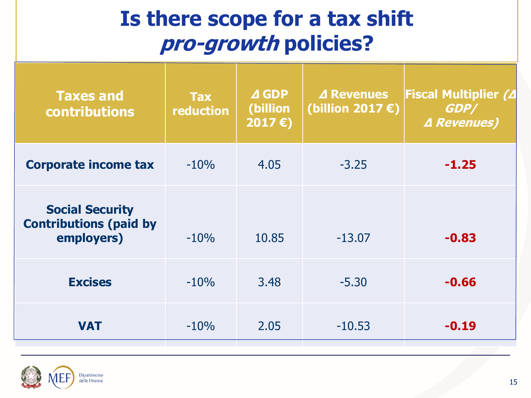#### **Is there scope for a tax shift pro-growth policies?**

| <b>Taxes and</b><br><b>contributions</b>                              | <b>Tax</b><br>reduction | <b>AGDP</b><br>(billion<br>2017 $\epsilon$ | ⊿ Revenues<br>(billion 2017 $\epsilon$ ) | <b>Fiscal Multiplier (4</b><br>GDP/<br><b><i>A Revenues)</i></b> |
|-----------------------------------------------------------------------|-------------------------|--------------------------------------------|------------------------------------------|------------------------------------------------------------------|
| <b>Corporate income tax</b>                                           | $-10%$                  | 4.05                                       | $-3.25$                                  | $-1.25$                                                          |
| <b>Social Security</b><br><b>Contributions (paid by</b><br>employers) | $-10%$                  | 10.85                                      | $-13.07$                                 | $-0.83$                                                          |
| <b>Excises</b>                                                        | $-10%$                  | 3.48                                       | $-5.30$                                  | $-0.66$                                                          |
| <b>VAT</b>                                                            | $-10%$                  | 2.05                                       | $-10.53$                                 | $-0.19$                                                          |

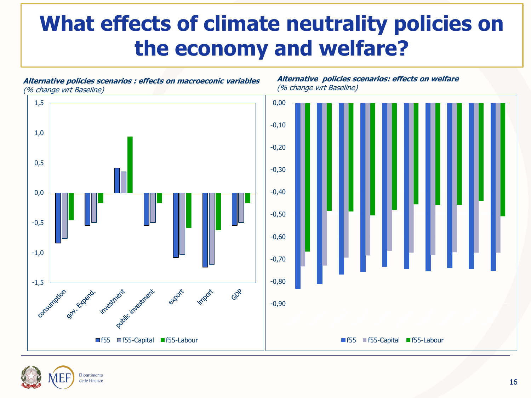#### **What effects of climate neutrality policies on the economy and welfare?**

**Alternative policies scenarios: effects on welfare** 

**Alternative policies scenarios : effects on macroeconic variables** (% change wrt Baseline) (% change wrt Baseline) 1,5 0,00 -0,10 1,0 -0,20 0,5 -0,30 0,0 -0,40 -0,50 -0,5 -0,60 -1,0 -0,70 investment investment -0,80 -1,5 expox GDR consumption cyt-strend in import -0,90 f55 f55-Capital f55-Labour f55 f55-Capital f55-Labour

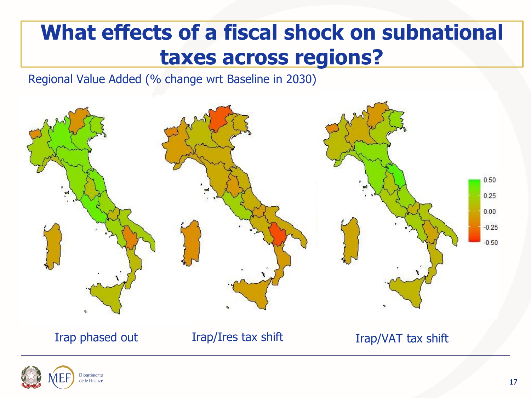#### **What effects of a fiscal shock on subnational taxes across regions?**

Regional Value Added (% change wrt Baseline in 2030)